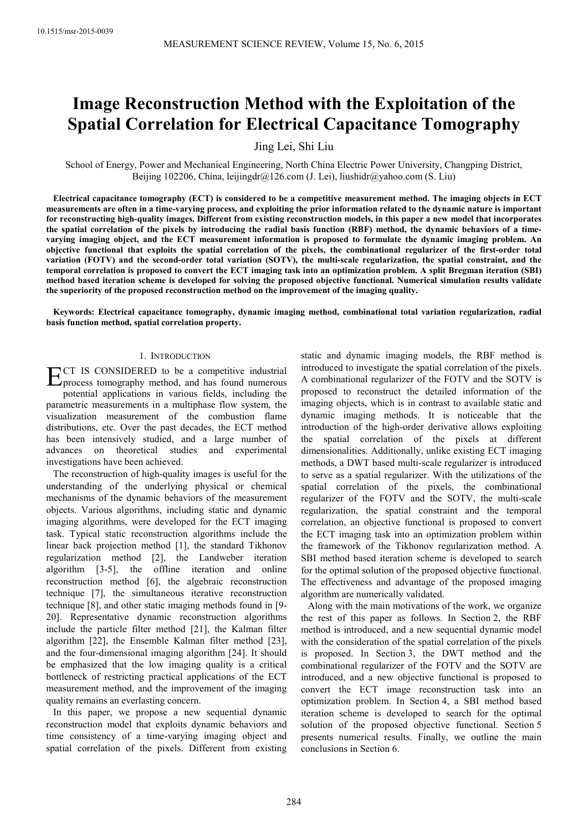# **Image Reconstruction Method with the Exploitation of the Spatial Correlation for Electrical Capacitance Tomography**

Jing Lei, Shi Liu

School of Energy, Power and Mechanical Engineering, North China Electric Power University, Changping District, Beijing 102206, China, leijingdr@126.com (J. Lei), liushidr@yahoo.com (S. Liu)

**Electrical capacitance tomography (ECT) is considered to be a competitive measurement method. The imaging objects in ECT measurements are often in a time-varying process, and exploiting the prior information related to the dynamic nature is important for reconstructing high-quality images. Different from existing reconstruction models, in this paper a new model that incorporates the spatial correlation of the pixels by introducing the radial basis function (RBF) method, the dynamic behaviors of a timevarying imaging object, and the ECT measurement information is proposed to formulate the dynamic imaging problem. An objective functional that exploits the spatial correlation of the pixels, the combinational regularizer of the first-order total variation (FOTV) and the second-order total variation (SOTV), the multi-scale regularization, the spatial constraint, and the temporal correlation is proposed to convert the ECT imaging task into an optimization problem. A split Bregman iteration (SBI) method based iteration scheme is developed for solving the proposed objective functional. Numerical simulation results validate the superiority of the proposed reconstruction method on the improvement of the imaging quality.** 

**Keywords: Electrical capacitance tomography, dynamic imaging method, combinational total variation regularization, radial basis function method, spatial correlation property.** 

#### 1. INTRODUCTION

CT IS CONSIDERED to be a competitive industrial **EXECUTE IS CONSIDERED** to be a competitive industrial process tomography method, and has found numerous potential applications in various fields, including the parametric measurements in a multiphase flow system, the visualization measurement of the combustion flame distributions, etc. Over the past decades, the ECT method has been intensively studied, and a large number of advances on theoretical studies and experimental investigations have been achieved.

The reconstruction of high-quality images is useful for the understanding of the underlying physical or chemical mechanisms of the dynamic behaviors of the measurement objects. Various algorithms, including static and dynamic imaging algorithms, were developed for the ECT imaging task. Typical static reconstruction algorithms include the linear back projection method [1], the standard Tikhonov regularization method [2], the Landweber iteration algorithm [3-5], the offline iteration and online reconstruction method [6], the algebraic reconstruction technique [7], the simultaneous iterative reconstruction technique [8], and other static imaging methods found in [9- 20]. Representative dynamic reconstruction algorithms include the particle filter method [21], the Kalman filter algorithm [22], the Ensemble Kalman filter method [23], and the four-dimensional imaging algorithm [24]. It should be emphasized that the low imaging quality is a critical bottleneck of restricting practical applications of the ECT measurement method, and the improvement of the imaging quality remains an everlasting concern.

In this paper, we propose a new sequential dynamic reconstruction model that exploits dynamic behaviors and time consistency of a time-varying imaging object and spatial correlation of the pixels. Different from existing static and dynamic imaging models, the RBF method is introduced to investigate the spatial correlation of the pixels. A combinational regularizer of the FOTV and the SOTV is proposed to reconstruct the detailed information of the imaging objects, which is in contrast to available static and dynamic imaging methods. It is noticeable that the introduction of the high-order derivative allows exploiting the spatial correlation of the pixels at different dimensionalities. Additionally, unlike existing ECT imaging methods, a DWT based multi-scale regularizer is introduced to serve as a spatial regularizer. With the utilizations of the spatial correlation of the pixels, the combinational regularizer of the FOTV and the SOTV, the multi-scale regularization, the spatial constraint and the temporal correlation, an objective functional is proposed to convert the ECT imaging task into an optimization problem within the framework of the Tikhonov regularization method. A SBI method based iteration scheme is developed to search for the optimal solution of the proposed objective functional. The effectiveness and advantage of the proposed imaging algorithm are numerically validated.

Along with the main motivations of the work, we organize the rest of this paper as follows. In Section 2, the RBF method is introduced, and a new sequential dynamic model with the consideration of the spatial correlation of the pixels is proposed. In Section 3, the DWT method and the combinational regularizer of the FOTV and the SOTV are introduced, and a new objective functional is proposed to convert the ECT image reconstruction task into an optimization problem. In Section 4, a SBI method based iteration scheme is developed to search for the optimal solution of the proposed objective functional. Section 5 presents numerical results. Finally, we outline the main conclusions in Section 6.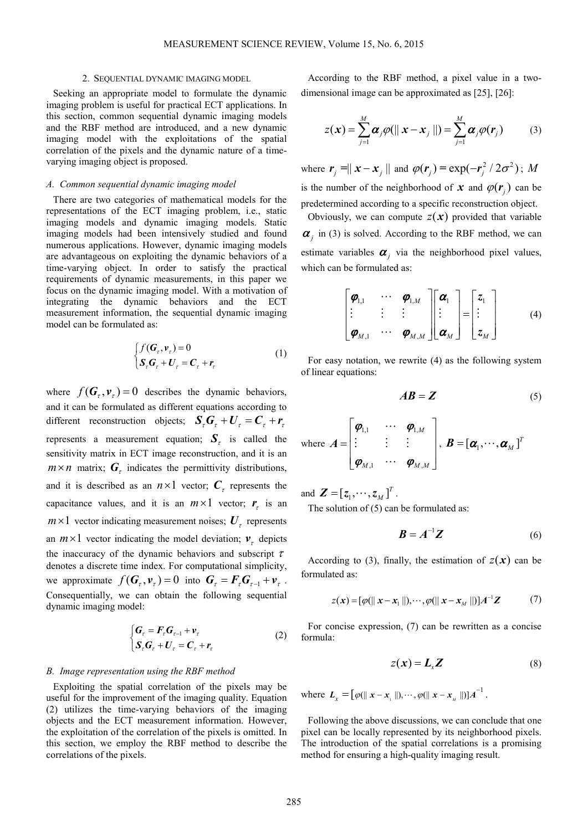#### 2. SEQUENTIAL DYNAMIC IMAGING MODEL

Seeking an appropriate model to formulate the dynamic imaging problem is useful for practical ECT applications. In this section, common sequential dynamic imaging models and the RBF method are introduced, and a new dynamic imaging model with the exploitations of the spatial correlation of the pixels and the dynamic nature of a timevarying imaging object is proposed.

#### *A. Common sequential dynamic imaging model*

There are two categories of mathematical models for the representations of the ECT imaging problem, i.e., static imaging models and dynamic imaging models. Static imaging models had been intensively studied and found numerous applications. However, dynamic imaging models are advantageous on exploiting the dynamic behaviors of a time-varying object. In order to satisfy the practical requirements of dynamic measurements, in this paper we focus on the dynamic imaging model. With a motivation of integrating the dynamic behaviors and the ECT measurement information, the sequential dynamic imaging model can be formulated as:

$$
\begin{cases}\nf(\mathbf{G}_r, \mathbf{v}_r) = 0 \\
\mathbf{S}_r \mathbf{G}_r + \mathbf{U}_r = \mathbf{C}_r + \mathbf{r}_r\n\end{cases}
$$
\n(1)

where  $f(\mathbf{G}_r, \mathbf{v}_r) = 0$  describes the dynamic behaviors, and it can be formulated as different equations according to different reconstruction objects;  $S_{\tau}G_{\tau} + U_{\tau} = C_{\tau} + r_{\tau}$ represents a measurement equation;  $S<sub>r</sub>$  is called the sensitivity matrix in ECT image reconstruction, and it is an  $m \times n$  matrix;  $G<sub>r</sub>$  indicates the permittivity distributions, and it is described as an  $n \times 1$  vector;  $C<sub>r</sub>$  represents the capacitance values, and it is an  $m \times 1$  vector;  $r<sub>r</sub>$  is an  $m \times 1$  vector indicating measurement noises;  $U<sub>\tau</sub>$  represents an  $m \times 1$  vector indicating the model deviation;  $v<sub>r</sub>$  depicts the inaccuracy of the dynamic behaviors and subscript  $\tau$ denotes a discrete time index. For computational simplicity, we approximate  $f(\mathbf{G}_{\tau}, \mathbf{v}_{\tau}) = 0$  into  $\mathbf{G}_{\tau} = \mathbf{F}_{\tau} \mathbf{G}_{\tau-1} + \mathbf{v}_{\tau}$ . Consequentially, we can obtain the following sequential dynamic imaging model:

$$
\begin{cases} \mathbf{G}_r = \mathbf{F}_r \mathbf{G}_{r-1} + \mathbf{v}_r \\ \mathbf{S}_r \mathbf{G}_r + \mathbf{U}_r = \mathbf{C}_r + \mathbf{r}_r \end{cases}
$$
 (2)

#### *B. Image representation using the RBF method*

Exploiting the spatial correlation of the pixels may be useful for the improvement of the imaging quality. Equation (2) utilizes the time-varying behaviors of the imaging objects and the ECT measurement information. However, the exploitation of the correlation of the pixels is omitted. In this section, we employ the RBF method to describe the correlations of the pixels.

According to the RBF method, a pixel value in a twodimensional image can be approximated as [25], [26]:

$$
z(\mathbf{x}) = \sum_{j=1}^{M} \boldsymbol{\alpha}_{j} \varphi(||\mathbf{x} - \mathbf{x}_{j}||) = \sum_{j=1}^{M} \boldsymbol{\alpha}_{j} \varphi(\mathbf{r}_{j})
$$
(3)

where  $\mathbf{r}_i = ||\mathbf{x} - \mathbf{x}_i||$  and  $\varphi(\mathbf{r}_i) = \exp(-\mathbf{r}_i^2 / 2\sigma^2)$ ; *M* is the number of the neighborhood of  $x$  and  $\varphi$  ( $r_j$ ) can be predetermined according to a specific reconstruction object.

Obviously, we can compute  $z(x)$  provided that variable  $\alpha_j$  in (3) is solved. According to the RBF method, we can estimate variables  $\boldsymbol{\alpha}_j$  via the neighborhood pixel values, which can be formulated as:

$$
\begin{bmatrix} \boldsymbol{\varphi}_{1,1} & \cdots & \boldsymbol{\varphi}_{1,M} \\ \vdots & \vdots & \vdots \\ \boldsymbol{\varphi}_{M,1} & \cdots & \boldsymbol{\varphi}_{M,M} \end{bmatrix} \begin{bmatrix} \boldsymbol{\alpha}_1 \\ \vdots \\ \boldsymbol{\alpha}_M \end{bmatrix} = \begin{bmatrix} z_1 \\ \vdots \\ z_M \end{bmatrix}
$$
 (4)

For easy notation, we rewrite (4) as the following system of linear equations:

$$
AB = Z \tag{5}
$$

where 
$$
A = \begin{bmatrix} \boldsymbol{\varphi}_{1,1} & \cdots & \boldsymbol{\varphi}_{1,M} \\ \vdots & \vdots & \vdots \\ \boldsymbol{\varphi}_{M,1} & \cdots & \boldsymbol{\varphi}_{M,M} \end{bmatrix}
$$
,  $B = [\boldsymbol{\alpha}_1, \cdots, \boldsymbol{\alpha}_M]^T$ 

and  $\boldsymbol{Z} = [z_1, \dots, z_M]^T$ .

The solution of (5) can be formulated as:

$$
\boldsymbol{B} = \boldsymbol{A}^{-1} \boldsymbol{Z} \tag{6}
$$

According to (3), finally, the estimation of  $z(x)$  can be formulated as:

$$
z(x) = [\varphi(||x - x_1||), \cdots, \varphi(||x - x_M||)]A^{-1}\mathbf{Z}
$$
 (7)

For concise expression, (7) can be rewritten as a concise formula:

$$
z(\mathbf{x}) = \mathbf{L}_{\mathbf{x}} \mathbf{Z} \tag{8}
$$

where  $L_x = [\varphi(\|x - x\|), \cdots, \varphi(\|x - x\|)\]A^{-1}$ .

Following the above discussions, we can conclude that one pixel can be locally represented by its neighborhood pixels. The introduction of the spatial correlations is a promising method for ensuring a high-quality imaging result.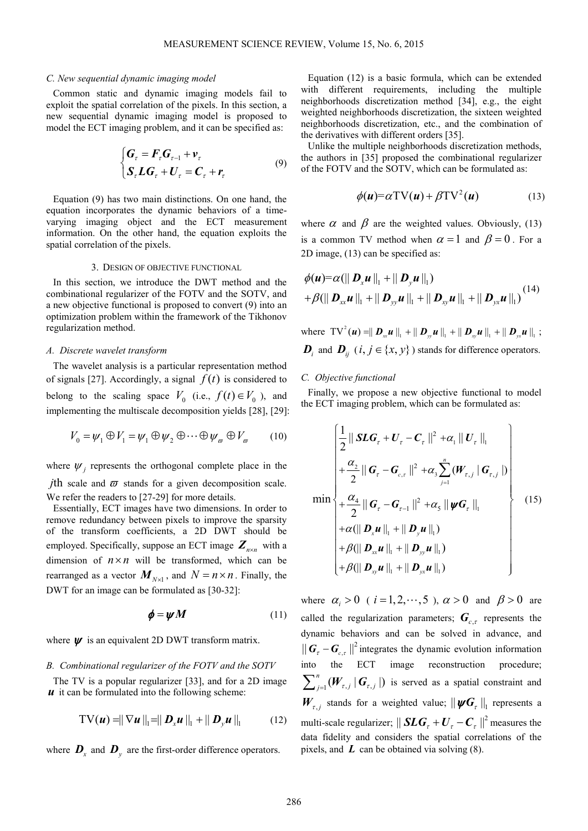#### *C. New sequential dynamic imaging model*

Common static and dynamic imaging models fail to exploit the spatial correlation of the pixels. In this section, a new sequential dynamic imaging model is proposed to model the ECT imaging problem, and it can be specified as:

$$
\begin{cases} \mathbf{G}_{\tau} = \mathbf{F}_{\tau} \mathbf{G}_{\tau-1} + \mathbf{v}_{\tau} \\ \mathbf{S}_{\tau} \mathbf{L} \mathbf{G}_{\tau} + \mathbf{U}_{\tau} = \mathbf{C}_{\tau} + \mathbf{r}_{\tau} \end{cases}
$$
(9)

Equation (9) has two main distinctions. On one hand, the equation incorporates the dynamic behaviors of a timevarying imaging object and the ECT measurement information. On the other hand, the equation exploits the spatial correlation of the pixels.

#### 3. DESIGN OF OBJECTIVE FUNCTIONAL

In this section, we introduce the DWT method and the combinational regularizer of the FOTV and the SOTV, and a new objective functional is proposed to convert (9) into an optimization problem within the framework of the Tikhonov regularization method.

## *A. Discrete wavelet transform*

The wavelet analysis is a particular representation method of signals [27]. Accordingly, a signal  $f(t)$  is considered to belong to the scaling space  $V_0$  (i.e.,  $f(t) \in V_0$ ), and implementing the multiscale decomposition yields [28], [29]:

$$
V_0 = \psi_1 \oplus V_1 = \psi_1 \oplus \psi_2 \oplus \cdots \oplus \psi_\varpi \oplus V_\varpi \qquad (10)
$$

where  $\psi_j$  represents the orthogonal complete place in the *j*th scale and  $\varpi$  stands for a given decomposition scale. We refer the readers to [27-29] for more details.

Essentially, ECT images have two dimensions. In order to remove redundancy between pixels to improve the sparsity of the transform coefficients, a 2D DWT should be employed. Specifically, suppose an ECT image  $\mathbf{Z}_{n \times n}$  with a dimension of  $n \times n$  will be transformed, which can be rearranged as a vector  $M_{N\times 1}$ , and  $N = n \times n$ . Finally, the DWT for an image can be formulated as [30-32]:

$$
\phi = \psi M \tag{11}
$$

where  $\psi$  is an equivalent 2D DWT transform matrix.

## *B. Combinational regularizer of the FOTV and the SOTV*

The TV is a popular regularizer [33], and for a 2D image *u* it can be formulated into the following scheme:

$$
\mathrm{TV}(u) = \|\nabla u\|_{\mathrm{l}} = \|D_x u\|_{\mathrm{l}} + \|D_y u\|_{\mathrm{l}} \qquad (12)
$$

where  $\boldsymbol{D}_x$  and  $\boldsymbol{D}_y$  are the first-order difference operators.

Equation (12) is a basic formula, which can be extended with different requirements, including the multiple neighborhoods discretization method [34], e.g., the eight weighted neighborhoods discretization, the sixteen weighted neighborhoods discretization, etc., and the combination of the derivatives with different orders [35].

Unlike the multiple neighborhoods discretization methods, the authors in [35] proposed the combinational regularizer of the FOTV and the SOTV, which can be formulated as:

$$
\phi(\mathbf{u}) = \alpha \text{TV}(\mathbf{u}) + \beta \text{TV}^2(\mathbf{u}) \tag{13}
$$

where  $\alpha$  and  $\beta$  are the weighted values. Obviously, (13) is a common TV method when  $\alpha = 1$  and  $\beta = 0$ . For a 2D image, (13) can be specified as:

$$
\phi(\boldsymbol{u}) = \alpha (\|\boldsymbol{D}_{x}\boldsymbol{u}\|_{1} + \|\boldsymbol{D}_{y}\boldsymbol{u}\|_{1})
$$
  
+  $\beta (\|\boldsymbol{D}_{xx}\boldsymbol{u}\|_{1} + \|\boldsymbol{D}_{yy}\boldsymbol{u}\|_{1} + \|\boldsymbol{D}_{xy}\boldsymbol{u}\|_{1} + \|\boldsymbol{D}_{yx}\boldsymbol{u}\|_{1})$ <sup>(14)</sup>

where  $TV^2(u) = || D_{xx} u ||_1 + || D_{yy} u ||_1 + || D_{xy} u ||_1 + || D_{yx} u ||_1 ;$  $D_i$  and  $D_{ij}$  (*i*, *j* ∈ {*x*, *y*}) stands for difference operators.

#### *C. Objective functional*

Finally, we propose a new objective functional to model the ECT imaging problem, which can be formulated as:

$$
\begin{bmatrix} \frac{1}{2} \|\mathbf{SLG}_{\tau} + \mathbf{U}_{\tau} - \mathbf{C}_{\tau} \|^2 + \alpha_{1} \|\mathbf{U}_{\tau}\|_{1} \\ + \frac{\alpha_{2}}{2} \|\mathbf{G}_{\tau} - \mathbf{G}_{c,\tau} \|^2 + \alpha_{3} \sum_{j=1}^{n} (\mathbf{W}_{\tau,j} \|\mathbf{G}_{\tau,j} |) \\ + \frac{\alpha_{4}}{2} \|\mathbf{G}_{\tau} - \mathbf{G}_{\tau-1} \|^2 + \alpha_{5} \|\mathbf{\psi} \mathbf{G}_{\tau} \|_{1} \\ + \alpha (\|\mathbf{D}_{x} \mathbf{u}\|_{1} + \|\mathbf{D}_{y} \mathbf{u}\|_{1}) \\ + \beta (\|\mathbf{D}_{xx} \mathbf{u}\|_{1} + \|\mathbf{D}_{yy} \mathbf{u}\|_{1}) \\ + \beta (\|\mathbf{D}_{xy} \mathbf{u}\|_{1} + \|\mathbf{D}_{yx} \mathbf{u}\|_{1}) \end{bmatrix} \qquad (15)
$$

where  $\alpha_i > 0$  (  $i = 1, 2, \dots, 5$  ),  $\alpha > 0$  and  $\beta > 0$  are called the regularization parameters;  $G_{c,\tau}$  represents the dynamic behaviors and can be solved in advance, and ,  $\|\mathbf{G}_{\tau} - \mathbf{G}_{c,\tau}\|^2$  integrates the dynamic evolution information into the ECT image reconstruction procedure;  $\sum_{j=1}^{n} (W_{\tau,j} | G_{\tau,j} |)$  is served as a spatial constraint and  $W_{\tau,j}$  stands for a weighted value;  $\|\psi G_{\tau}\|_{1}$  represents a multi-scale regularizer;  $\|$   $SLG_{\tau}$  +  $U_{\tau}$  –  $C_{\tau}$   $\|^2$  measures the data fidelity and considers the spatial correlations of the pixels, and *L* can be obtained via solving (8).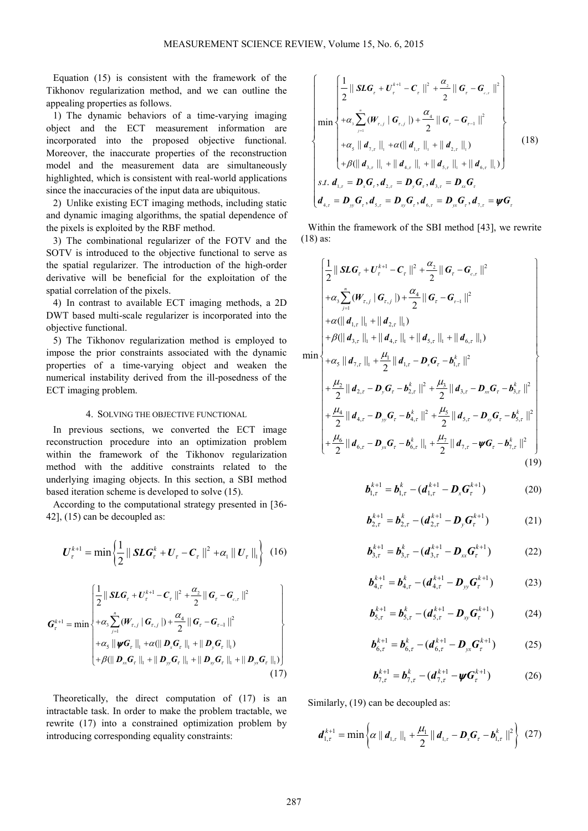Equation (15) is consistent with the framework of the Tikhonov regularization method, and we can outline the appealing properties as follows.

1) The dynamic behaviors of a time-varying imaging object and the ECT measurement information are incorporated into the proposed objective functional. Moreover, the inaccurate properties of the reconstruction model and the measurement data are simultaneously highlighted, which is consistent with real-world applications since the inaccuracies of the input data are ubiquitous.

2) Unlike existing ECT imaging methods, including static and dynamic imaging algorithms, the spatial dependence of the pixels is exploited by the RBF method.

3) The combinational regularizer of the FOTV and the SOTV is introduced to the objective functional to serve as the spatial regularizer. The introduction of the high-order derivative will be beneficial for the exploitation of the spatial correlation of the pixels.

4) In contrast to available ECT imaging methods, a 2D DWT based multi-scale regularizer is incorporated into the objective functional.

5) The Tikhonov regularization method is employed to impose the prior constraints associated with the dynamic properties of a time-varying object and weaken the numerical instability derived from the ill-posedness of the ECT imaging problem.

## 4. SOLVING THE OBJECTIVE FUNCTIONAL

In previous sections, we converted the ECT image reconstruction procedure into an optimization problem within the framework of the Tikhonov regularization method with the additive constraints related to the underlying imaging objects. In this section, a SBI method based iteration scheme is developed to solve (15).

According to the computational strategy presented in [36- 42], (15) can be decoupled as:

$$
U_{\tau}^{k+1} = \min \left\{ \frac{1}{2} \left\| \,\mathbf{SLG}_{\tau}^{k} + U_{\tau} - C_{\tau} \,\right\|^{2} + \alpha_{1} \left\| \,U_{\tau} \,\right\|_{1} \right\} \tag{16}
$$

$$
G_{\tau}^{k+1} = \min \begin{cases} \frac{1}{2} \|\mathbf{SLG}_{\tau} + U_{\tau}^{k+1} - C_{\tau} \|^2 + \frac{\alpha_2}{2} \|\mathbf{G}_{\tau} - \mathbf{G}_{c,\tau} \|^2 \\ + \alpha_3 \sum_{j=1}^{n} (\mathbf{W}_{\tau,j} \|\mathbf{G}_{\tau,j}\|) + \frac{\alpha_4}{2} \|\mathbf{G}_{\tau} - \mathbf{G}_{\tau-1} \|^2 \\ + \alpha_5 \|\mathbf{\psi} \mathbf{G}_{\tau} \|_{1} + \alpha (\|\mathbf{D}_{x} \mathbf{G}_{\tau} \|_{1} + \|\mathbf{D}_{y} \mathbf{G}_{\tau} \|_{1}) \\ + \beta (\|\mathbf{D}_{xx} \mathbf{G}_{\tau} \|_{1} + \|\mathbf{D}_{yy} \mathbf{G}_{\tau} \|_{1} + \|\mathbf{D}_{xy} \mathbf{G}_{\tau} \|_{1} + \|\mathbf{D}_{yx} \mathbf{G}_{\tau} \|_{1}) \end{cases}
$$
(17)

Theoretically, the direct computation of (17) is an intractable task. In order to make the problem tractable, we rewrite (17) into a constrained optimization problem by introducing corresponding equality constraints:

$$
\begin{bmatrix}\n\frac{1}{2} \|\mathbf{SLG}_{r} + U_{r}^{k+1} - C_{r} \|^{2} + \frac{\alpha_{2}}{2} \|\mathbf{G}_{r} - \mathbf{G}_{e,r} \|^{2} \\
+ \alpha_{3} \sum_{j=1}^{n} (\mathbf{W}_{r,j} | \mathbf{G}_{r,j}) + \frac{\alpha_{4}}{2} \|\mathbf{G}_{r} - \mathbf{G}_{r-1} \|^{2} \\
+ \alpha_{5} \|\mathbf{d}_{7,r} \|_{1} + \alpha (\|\mathbf{d}_{1,r} \|_{1} + \|\mathbf{d}_{2,r} \|_{1}) \\
+ \beta (\|\mathbf{d}_{3,r} \|_{1} + \|\mathbf{d}_{4,r} \|_{1} + \|\mathbf{d}_{5,r} \|_{1} + \|\mathbf{d}_{6,r} \|_{1})\n\end{bmatrix}
$$
\n(18)\n  
\n
$$
\begin{bmatrix}\ns.t. \mathbf{d}_{1,r} = \mathbf{D}_{s} \mathbf{G}_{r}, \mathbf{d}_{2,r} = \mathbf{D}_{s} \mathbf{G}_{r}, \mathbf{d}_{3,r} = \mathbf{D}_{ss} \mathbf{G}_{r}, \mathbf{d}_{7,r} = \mathbf{W} \mathbf{G}_{r}\n\end{bmatrix}
$$

Within the framework of the SBI method [43], we rewrite (18) as:

$$
\begin{bmatrix}\n\frac{1}{2} \|\mathbf{SLG}_{r} + U_{r}^{k+1} - C_{r} \|^{2} + \frac{\alpha_{2}}{2} \|\mathbf{G}_{r} - \mathbf{G}_{c,r} \|^{2} \\
+\alpha_{3} \sum_{j=1}^{n} (\mathbf{W}_{r,j} | \mathbf{G}_{r,j}) + \frac{\alpha_{4}}{2} \|\mathbf{G}_{r} - \mathbf{G}_{r-1} \|^{2} \\
+\alpha (\|\mathbf{d}_{1,r} \|_{1} + \|\mathbf{d}_{2,r} \|_{1}) \\
+\beta (\|\mathbf{d}_{3,r} \|_{1} + \|\mathbf{d}_{4,r} \|_{1} + \|\mathbf{d}_{5,r} \|_{1} + \|\mathbf{d}_{6,r} \|_{1}) \\
+\alpha_{5} \|\mathbf{d}_{7,r} \|_{1} + \frac{\mu_{1}}{2} \|\mathbf{d}_{1,r} - \mathbf{D}_{s} \mathbf{G}_{r} - \mathbf{b}_{1,r}^{k} \|^{2} \\
+\frac{\mu_{2}}{2} \|\mathbf{d}_{2,r} - \mathbf{D}_{y} \mathbf{G}_{r} - \mathbf{b}_{2,r}^{k} \|^{2} + \frac{\mu_{3}}{2} \|\mathbf{d}_{3,r} - \mathbf{D}_{xx} \mathbf{G}_{r} - \mathbf{b}_{3,r}^{k} \|^{2} \\
+\frac{\mu_{4}}{2} \|\mathbf{d}_{4,r} - \mathbf{D}_{yy} \mathbf{G}_{r} - \mathbf{b}_{4,r}^{k} \|^{2} + \frac{\mu_{5}}{2} \|\mathbf{d}_{5,r} - \mathbf{D}_{xy} \mathbf{G}_{r} - \mathbf{b}_{5,r}^{k} \|^{2} \\
+\frac{\mu_{6}}{2} \|\mathbf{d}_{6,r} - \mathbf{D}_{yx} \mathbf{G}_{r} - \mathbf{b}_{6,r}^{k} \|_{1} + \frac{\mu_{7}}{2} \|\mathbf{d}_{7,r} - \mathbf{\psi} \mathbf{G}_{r} - \mathbf{b}_{7,r}^{k} \|^{2}\n\end{bmatrix} (19)
$$

$$
\boldsymbol{b}_{1,\tau}^{k+1} = \boldsymbol{b}_{1,\tau}^{k} - (\boldsymbol{d}_{1,\tau}^{k+1} - \boldsymbol{D}_{x} \boldsymbol{G}_{\tau}^{k+1})
$$
(20)

$$
\boldsymbol{b}_{2,\tau}^{k+1} = \boldsymbol{b}_{2,\tau}^{k} - (\boldsymbol{d}_{2,\tau}^{k+1} - \boldsymbol{D}_{\mathbf{y}} \boldsymbol{G}_{\tau}^{k+1})
$$
(21)

$$
\boldsymbol{b}_{3,\tau}^{k+1} = \boldsymbol{b}_{3,\tau}^{k} - (\boldsymbol{d}_{3,\tau}^{k+1} - \boldsymbol{D}_{xx} \boldsymbol{G}_{\tau}^{k+1})
$$
(22)

$$
\boldsymbol{b}_{4,\tau}^{k+1} = \boldsymbol{b}_{4,\tau}^{k} - (\boldsymbol{d}_{4,\tau}^{k+1} - \boldsymbol{D}_{\mathit{yy}} \boldsymbol{G}_{\tau}^{k+1})
$$
(23)

$$
\boldsymbol{b}_{5,\tau}^{k+1} = \boldsymbol{b}_{5,\tau}^{k} - (\boldsymbol{d}_{5,\tau}^{k+1} - \boldsymbol{D}_{xy} \boldsymbol{G}_{\tau}^{k+1})
$$
(24)

$$
\boldsymbol{b}_{6,\tau}^{k+1} = \boldsymbol{b}_{6,\tau}^{k} - (\boldsymbol{d}_{6,\tau}^{k+1} - \boldsymbol{D}_{yx} \boldsymbol{G}_{\tau}^{k+1})
$$
(25)

$$
\boldsymbol{b}_{7,\tau}^{k+1} = \boldsymbol{b}_{7,\tau}^{k} - (\boldsymbol{d}_{7,\tau}^{k+1} - \boldsymbol{\psi} \boldsymbol{G}_{\tau}^{k+1})
$$
(26)

Similarly, (19) can be decoupled as:

$$
\boldsymbol{d}_{1,\tau}^{k+1} = \min \left\{ \alpha \, \|\, \boldsymbol{d}_{1,\tau} \|_{1} + \frac{\mu_{1}}{2} \|\, \boldsymbol{d}_{1,\tau} - \boldsymbol{D}_{x} \boldsymbol{G}_{\tau} - \boldsymbol{b}_{1,\tau}^{k} \,\|^2 \right\} (27)
$$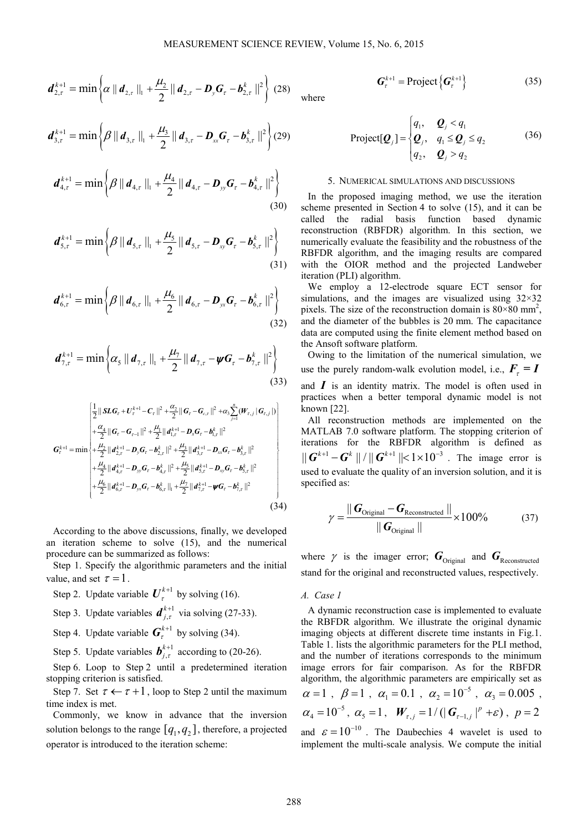$$
\boldsymbol{d}_{2,\tau}^{k+1} = \min \left\{ \alpha \parallel \boldsymbol{d}_{2,\tau} \parallel_1 + \frac{\mu_2}{2} \parallel \boldsymbol{d}_{2,\tau} - \boldsymbol{D}_y \boldsymbol{G}_{\tau} - \boldsymbol{b}_{2,\tau}^k \parallel^2 \right\} (28)
$$

$$
\boldsymbol{d}_{3,\tau}^{k+1} = \min \left\{ \beta \left\| \boldsymbol{d}_{3,\tau} \right\|_{1} + \frac{\mu_{3}}{2} \left\| \boldsymbol{d}_{3,\tau} - \boldsymbol{D}_{xx} \boldsymbol{G}_{\tau} - \boldsymbol{b}_{3,\tau}^{k} \right\|^{2} \right\} (29)
$$

$$
\boldsymbol{d}_{4,\tau}^{k+1} = \min \left\{ \beta \left\| \boldsymbol{d}_{4,\tau} \right\|_{1} + \frac{\mu_{4}}{2} \left\| \boldsymbol{d}_{4,\tau} - \boldsymbol{D}_{\mathit{yy}} \boldsymbol{G}_{\tau} - \boldsymbol{b}_{4,\tau}^{k} \right\|^{2} \right\}
$$
\n(30)

$$
\boldsymbol{d}_{5,\tau}^{k+1} = \min \left\{ \beta \left\| \boldsymbol{d}_{5,\tau} \right\|_{1} + \frac{\mu_{5}}{2} \left\| \boldsymbol{d}_{5,\tau} - \boldsymbol{D}_{xy} \boldsymbol{G}_{\tau} - \boldsymbol{b}_{5,\tau}^{k} \right\|^{2} \right\}
$$
(31)

$$
\boldsymbol{d}_{6,\tau}^{k+1} = \min \left\{ \beta \left\| \boldsymbol{d}_{6,\tau} \right\|_{1} + \frac{\mu_{6}}{2} \left\| \boldsymbol{d}_{6,\tau} - \boldsymbol{D}_{\mathrm{yx}} \boldsymbol{G}_{\tau} - \boldsymbol{b}_{6,\tau}^{k} \right\|^{2} \right\}
$$
(32)

$$
\boldsymbol{d}_{7,\tau}^{k+1} = \min \left\{ \boldsymbol{\alpha}_s \, || \, \boldsymbol{d}_{7,\tau} ||_1 + \frac{\mu_7}{2} || \, \boldsymbol{d}_{7,\tau} - \boldsymbol{\psi} \boldsymbol{G}_{\tau} - \boldsymbol{b}_{7,\tau}^k ||^2 \right\}
$$
(33)

$$
G_{\tau}^{k+1} = \min \left\{ \begin{aligned} &\frac{1}{2} \| \mathbf{SLG}_{\tau} + U_{\tau}^{k+1} - C_{\tau} \|^2 + \frac{\alpha_2}{2} \| G_{\tau} - G_{c,\tau} \|^2 + \alpha_3 \sum_{j=1}^n (W_{\tau,j} \, | \, G_{\tau,j} |) \\ &+ \frac{\alpha_4}{2} \| G_{\tau} - G_{\tau-1} \|^2 + \frac{\mu_1}{2} \| d_{1,\tau}^{k+1} - D_x G_{\tau} - b_{1,\tau}^k \|^2 \\ &+ \frac{\mu_2}{2} \| d_{2,\tau}^{k+1} - D_y G_{\tau} - b_{2,\tau}^k \|^2 + \frac{\mu_3}{2} \| d_{3,\tau}^{k+1} - D_{xx} G_{\tau} - b_{3,\tau}^k \|^2 \\ &+ \frac{\mu_4}{2} \| d_{4,\tau}^{k+1} - D_{yy} G_{\tau} - b_{4,\tau}^k \|^2 + \frac{\mu_5}{2} \| d_{5,\tau}^{k+1} - D_{xy} G_{\tau} - b_{5,\tau}^k \|^2 \\ &+ \frac{\mu_6}{2} \| d_{6,\tau}^{k+1} - D_{yx} G_{\tau} - b_{6,\tau}^k \|_1 + \frac{\mu_7}{2} \| d_{7,\tau}^{k+1} - \psi G_{\tau} - b_{7,\tau}^k \|^2 \end{aligned} \right\} \tag{34}
$$

According to the above discussions, finally, we developed an iteration scheme to solve (15), and the numerical procedure can be summarized as follows:

Step 1. Specify the algorithmic parameters and the initial value, and set  $\tau = 1$ .

- Step 2. Update variable  $U_{\tau}^{k+1}$  by solving (16).
- Step 3. Update variables  $d_{j,\tau}^{k+1}$ *k j* <sup>τ</sup>  $d_{i\tau}^{k+1}$  via solving (27-33).
- Step 4. Update variable  $G_{\tau}^{k+1}$  by solving (34).

Step 5. Update variables  $\boldsymbol{b}_{j,\tau}^{k+1}$ *k j* <sup>τ</sup>  $\boldsymbol{b}^{k+1}_{i,\tau}$  according to (20-26).

Step 6. Loop to Step 2 until a predetermined iteration stopping criterion is satisfied.

Step 7. Set  $\tau \leftarrow \tau + 1$ , loop to Step 2 until the maximum time index is met.

Commonly, we know in advance that the inversion solution belongs to the range  $[q_1, q_2]$ , therefore, a projected operator is introduced to the iteration scheme:

where

$$
\text{Project}[\boldsymbol{Q}_j] = \begin{cases} q_1, & \boldsymbol{Q}_j < q_1 \\ \boldsymbol{Q}_j, & q_1 \leq \boldsymbol{Q}_j \leq q_2 \\ q_2, & \boldsymbol{Q}_j > q_2 \end{cases} \tag{36}
$$

 ${\bf G}_{\tau}^{k+1} = \text{Project}\left\{{\bf G}_{\tau}^{k+1}\right\}$  (35)

#### 5. NUMERICAL SIMULATIONS AND DISCUSSIONS

In the proposed imaging method, we use the iteration scheme presented in Section 4 to solve (15), and it can be called the radial basis function based dynamic reconstruction (RBFDR) algorithm. In this section, we numerically evaluate the feasibility and the robustness of the RBFDR algorithm, and the imaging results are compared with the OIOR method and the projected Landweber iteration (PLI) algorithm.

We employ a 12-electrode square ECT sensor for simulations, and the images are visualized using  $32 \times 32$ pixels. The size of the reconstruction domain is  $80 \times 80$  mm<sup>2</sup>, and the diameter of the bubbles is 20 mm. The capacitance data are computed using the finite element method based on the Ansoft software platform.

Owing to the limitation of the numerical simulation, we use the purely random-walk evolution model, i.e.,  $\mathbf{F}_r = \mathbf{I}$ and *I* is an identity matrix. The model is often used in practices when a better temporal dynamic model is not known [22].

All reconstruction methods are implemented on the MATLAB 7.0 software platform. The stopping criterion of iterations for the RBFDR algorithm is defined as  $\|\boldsymbol{G}^{k+1} - \boldsymbol{G}^k\| / \|\boldsymbol{G}^{k+1}\| < 1 \times 10^{-3}$ . The image error is used to evaluate the quality of an inversion solution, and it is specified as:

$$
\gamma = \frac{\parallel \mathbf{G}_{\text{Original}} - \mathbf{G}_{\text{Reconstructed}} \parallel}{\parallel \mathbf{G}_{\text{original}} \parallel} \times 100\% \tag{37}
$$

where  $\gamma$  is the imager error;  $G_{\text{Original}}$  and  $G_{\text{Reconstructed}}$ stand for the original and reconstructed values, respectively.

*A. Case 1*

A dynamic reconstruction case is implemented to evaluate the RBFDR algorithm. We illustrate the original dynamic imaging objects at different discrete time instants in Fig.1. Table 1. lists the algorithmic parameters for the PLI method, and the number of iterations corresponds to the minimum image errors for fair comparison. As for the RBFDR algorithm, the algorithmic parameters are empirically set as  $\alpha = 1$ ,  $\beta = 1$ ,  $\alpha_1 = 0.1$ ,  $\alpha_2 = 10^{-5}$ ,  $\alpha_3 = 0.005$ ,  $\alpha_4 = 10^{-5}$ ,  $\alpha_5 = 1$ ,  $W_{\tau,j} = 1/(|\mathbf{G}_{\tau-1,j}|^p + \varepsilon)$ ,  $p = 2$ and  $\varepsilon = 10^{-10}$ . The Daubechies 4 wavelet is used to implement the multi-scale analysis. We compute the initial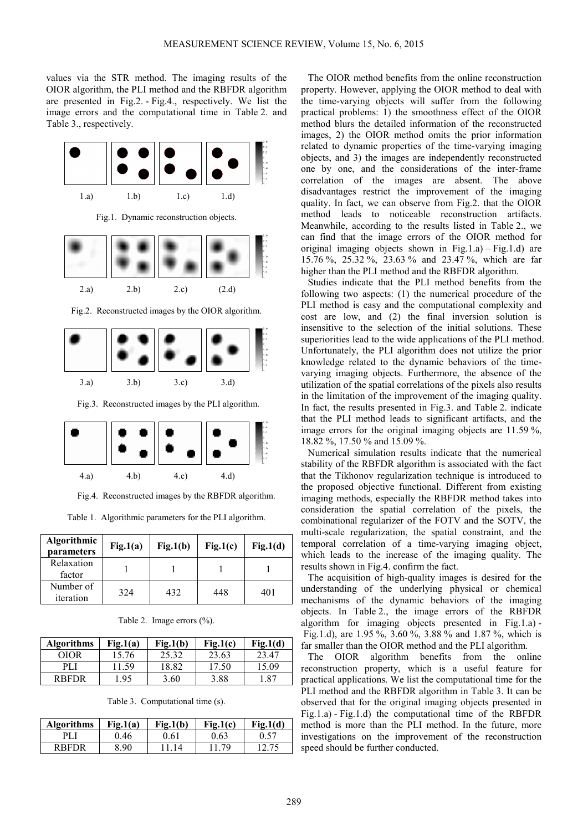values via the STR method. The imaging results of the OIOR algorithm, the PLI method and the RBFDR algorithm are presented in Fig.2. - Fig.4., respectively. We list the image errors and the computational time in Table 2. and Table 3., respectively.



Fig.1. Dynamic reconstruction objects.

|      |      |      |       | 2.6<br>2.4<br>2.2<br>l2<br>1.8<br>1.6<br>1.4<br>1.2 |
|------|------|------|-------|-----------------------------------------------------|
| 2.a) | 2.b) | 2.c) | (2.d) |                                                     |

Fig.2. Reconstructed images by the OIOR algorithm.



Fig.3. Reconstructed images by the PLI algorithm.



Fig.4. Reconstructed images by the RBFDR algorithm.

| <b>Algorithmic</b><br>parameters | Fig.1(a) | Fig.1(b) | Fig.1(c) | Fig.1(d) |
|----------------------------------|----------|----------|----------|----------|
| Relaxation<br>factor             |          |          |          |          |
| Number of<br>iteration           | 324      | 432      | 448      | 401      |

| <b>Algorithms</b> | Fig.1(a) | Fig.1(b) | Fig.1(c) | Fig.1(d) |
|-------------------|----------|----------|----------|----------|
| OIOR              | 15.76    | 25.32    | 23.63    | 23.47    |
| PL I              | 11.59    | 18.82    | 17.50    | 1509     |
| <b>RREDR</b>      | .95      | 3.60     | 3.88     | . 87     |

Table 3. Computational time (s).

| <b>Algorithms</b> | Fig.1(a) | Fig.1(b) | Fig.1(c) | Fig.1(d) |
|-------------------|----------|----------|----------|----------|
|                   | 0.46     | 0.61     | 9.63     | 1.57     |
| <b>RREDR</b>      | -90      | 14       |          |          |

The OIOR method benefits from the online reconstruction property. However, applying the OIOR method to deal with the time-varying objects will suffer from the following practical problems: 1) the smoothness effect of the OIOR method blurs the detailed information of the reconstructed images, 2) the OIOR method omits the prior information related to dynamic properties of the time-varying imaging objects, and 3) the images are independently reconstructed one by one, and the considerations of the inter-frame correlation of the images are absent. The above disadvantages restrict the improvement of the imaging quality. In fact, we can observe from Fig.2. that the OIOR method leads to noticeable reconstruction artifacts. Meanwhile, according to the results listed in Table 2., we can find that the image errors of the OIOR method for original imaging objects shown in Fig.1.a) – Fig.1.d) are 15.76 %, 25.32 %, 23.63 % and 23.47 %, which are far higher than the PLI method and the RBFDR algorithm.

Studies indicate that the PLI method benefits from the following two aspects: (1) the numerical procedure of the PLI method is easy and the computational complexity and cost are low, and (2) the final inversion solution is insensitive to the selection of the initial solutions. These superiorities lead to the wide applications of the PLI method. Unfortunately, the PLI algorithm does not utilize the prior knowledge related to the dynamic behaviors of the timevarying imaging objects. Furthermore, the absence of the utilization of the spatial correlations of the pixels also results in the limitation of the improvement of the imaging quality. In fact, the results presented in Fig.3. and Table 2. indicate that the PLI method leads to significant artifacts, and the image errors for the original imaging objects are 11.59 %, 18.82 %, 17.50 % and 15.09 %.

Numerical simulation results indicate that the numerical stability of the RBFDR algorithm is associated with the fact that the Tikhonov regularization technique is introduced to the proposed objective functional. Different from existing imaging methods, especially the RBFDR method takes into consideration the spatial correlation of the pixels, the combinational regularizer of the FOTV and the SOTV, the multi-scale regularization, the spatial constraint, and the temporal correlation of a time-varying imaging object, which leads to the increase of the imaging quality. The results shown in Fig.4. confirm the fact.

The acquisition of high-quality images is desired for the understanding of the underlying physical or chemical mechanisms of the dynamic behaviors of the imaging objects. In Table 2., the image errors of the RBFDR algorithm for imaging objects presented in Fig.1.a) - Fig.1.d), are 1.95 %, 3.60 %, 3.88 % and 1.87 %, which is far smaller than the OIOR method and the PLI algorithm.

The OIOR algorithm benefits from the online reconstruction property, which is a useful feature for practical applications. We list the computational time for the PLI method and the RBFDR algorithm in Table 3. It can be observed that for the original imaging objects presented in Fig.1.a) - Fig.1.d) the computational time of the RBFDR method is more than the PLI method. In the future, more investigations on the improvement of the reconstruction speed should be further conducted.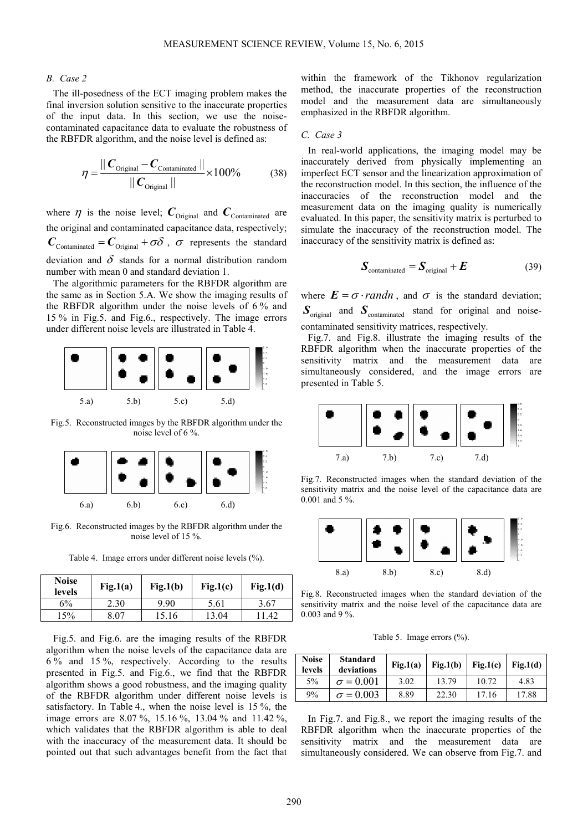## *B. Case 2*

The ill-posedness of the ECT imaging problem makes the final inversion solution sensitive to the inaccurate properties of the input data. In this section, we use the noisecontaminated capacitance data to evaluate the robustness of the RBFDR algorithm, and the noise level is defined as:

$$
\eta = \frac{\parallel \mathcal{C}_{\text{Original}} - \mathcal{C}_{\text{Contininated}} \parallel}{\parallel \mathcal{C}_{\text{original}} \parallel} \times 100\%
$$
 (38)

where  $\eta$  is the noise level;  $C_{\text{Original}}$  and  $C_{\text{Continated}}$  are the original and contaminated capacitance data, respectively;  $C_{\text{Continated}} = C_{\text{Original}} + \sigma \delta$ ,  $\sigma$  represents the standard deviation and  $\delta$  stands for a normal distribution random number with mean 0 and standard deviation 1.

The algorithmic parameters for the RBFDR algorithm are the same as in Section 5.A. We show the imaging results of the RBFDR algorithm under the noise levels of 6 % and 15 % in Fig.5. and Fig.6., respectively. The image errors under different noise levels are illustrated in Table 4.



Fig.5. Reconstructed images by the RBFDR algorithm under the noise level of 6 %.



Fig.6. Reconstructed images by the RBFDR algorithm under the noise level of 15 %.

Table 4. Image errors under different noise levels (%).

| <b>Noise</b><br>levels | Fig.1(a) | Fig.1(b) | Fig.1(c) | Fig.1(d) |
|------------------------|----------|----------|----------|----------|
| 6%                     | 2.30     | 990      | 5.61     | 3.67     |
| 15%                    | 8.07     | 15.16    | 13.04    | 42       |

Fig.5. and Fig.6. are the imaging results of the RBFDR algorithm when the noise levels of the capacitance data are 6 % and 15 %, respectively. According to the results presented in Fig.5. and Fig.6., we find that the RBFDR algorithm shows a good robustness, and the imaging quality of the RBFDR algorithm under different noise levels is satisfactory. In Table 4., when the noise level is 15 %, the image errors are 8.07 %, 15.16 %, 13.04 % and 11.42 %, which validates that the RBFDR algorithm is able to deal with the inaccuracy of the measurement data. It should be pointed out that such advantages benefit from the fact that within the framework of the Tikhonov regularization method, the inaccurate properties of the reconstruction model and the measurement data are simultaneously emphasized in the RBFDR algorithm.

## *C. Case 3*

In real-world applications, the imaging model may be inaccurately derived from physically implementing an imperfect ECT sensor and the linearization approximation of the reconstruction model. In this section, the influence of the inaccuracies of the reconstruction model and the measurement data on the imaging quality is numerically evaluated. In this paper, the sensitivity matrix is perturbed to simulate the inaccuracy of the reconstruction model. The inaccuracy of the sensitivity matrix is defined as:

$$
\mathbf{S}_{\text{contaminated}} = \mathbf{S}_{\text{original}} + \boldsymbol{E} \tag{39}
$$

where  $\mathbf{E} = \sigma \cdot \text{randn}$ , and  $\sigma$  is the standard deviation;  $S_{\text{original}}$  and  $S_{\text{contaminated}}$  stand for original and noisecontaminated sensitivity matrices, respectively.

Fig.7. and Fig.8. illustrate the imaging results of the RBFDR algorithm when the inaccurate properties of the sensitivity matrix and the measurement data are simultaneously considered, and the image errors are presented in Table 5.



Fig.7. Reconstructed images when the standard deviation of the sensitivity matrix and the noise level of the capacitance data are 0.001 and 5 %.



Fig.8. Reconstructed images when the standard deviation of the sensitivity matrix and the noise level of the capacitance data are 0.003 and 9 %.

Table 5. Image errors (%).

| <b>Noise</b><br>levels | <b>Standard</b><br>deviations | Fig.1(a) | Fig.1(b) | Fig.1(c) | Fig.1(d) |
|------------------------|-------------------------------|----------|----------|----------|----------|
| $5\%$                  | $\sigma = 0.001$              | 3.02     | 13.79    | 10.72    | 4.83     |
| 9%                     | $\sigma = 0.003$              | 8.89     | 22.30    | 1716     | 17 88    |

In Fig.7. and Fig.8., we report the imaging results of the RBFDR algorithm when the inaccurate properties of the sensitivity matrix and the measurement data are simultaneously considered. We can observe from Fig.7. and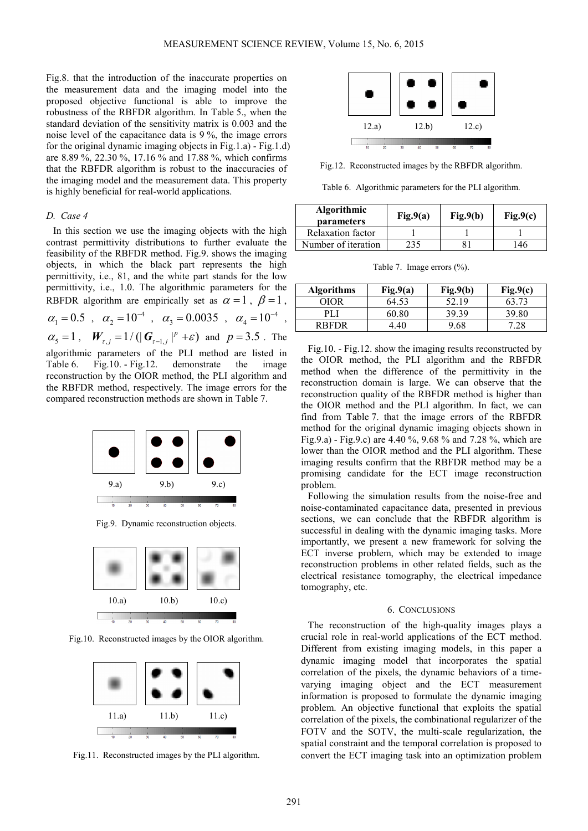Fig.8. that the introduction of the inaccurate properties on the measurement data and the imaging model into the proposed objective functional is able to improve the robustness of the RBFDR algorithm. In Table 5., when the standard deviation of the sensitivity matrix is 0.003 and the noise level of the capacitance data is 9 %, the image errors for the original dynamic imaging objects in Fig.1.a) - Fig.1.d) are 8.89 %, 22.30 %, 17.16 % and 17.88 %, which confirms that the RBFDR algorithm is robust to the inaccuracies of the imaging model and the measurement data. This property is highly beneficial for real-world applications.

## *D. Case 4*

In this section we use the imaging objects with the high contrast permittivity distributions to further evaluate the feasibility of the RBFDR method. Fig.9. shows the imaging objects, in which the black part represents the high permittivity, i.e., 81, and the white part stands for the low permittivity, i.e., 1.0. The algorithmic parameters for the RBFDR algorithm are empirically set as  $\alpha = 1$ ,  $\beta = 1$ ,

 $\alpha_1 = 0.5$ ,  $\alpha_2 = 10^{-4}$ ,  $\alpha_3 = 0.0035$ ,  $\alpha_4 = 10^{-4}$ ,  $\alpha_{5} = 1$ ,  $W_{\tau,j} = 1/({|G_{\tau-1,j}|}^{p} + \varepsilon)$  and  $p = 3.5$ . The algorithmic parameters of the PLI method are listed in Table 6. Fig.10. - Fig.12. demonstrate the image reconstruction by the OIOR method, the PLI algorithm and the RBFDR method, respectively. The image errors for the compared reconstruction methods are shown in Table 7.



Fig.9. Dynamic reconstruction objects.



Fig.10. Reconstructed images by the OIOR algorithm.



Fig.11. Reconstructed images by the PLI algorithm.

Fig.12. Reconstructed images by the RBFDR algorithm.

Table 6. Algorithmic parameters for the PLI algorithm.

| <b>Algorithmic</b><br><i>parameters</i> | Fig.9 $(a)$ | Fig.9(b) | Fig.9(c) |
|-----------------------------------------|-------------|----------|----------|
| Relaxation factor                       |             |          |          |
| Number of iteration                     | 235         |          | 146      |

Table 7. Image errors (%).

| <b>Algorithms</b> | Fig.9(a) | Fig.9(b) | Fig.9(c) |
|-------------------|----------|----------|----------|
| OIOR              | 64.53    | 52.19    | 63 73    |
|                   | 60 80    | 39.39    | 39.80    |
| <b>RREDR</b>      |          | 9.68     |          |

Fig.10. - Fig.12. show the imaging results reconstructed by the OIOR method, the PLI algorithm and the RBFDR method when the difference of the permittivity in the reconstruction domain is large. We can observe that the reconstruction quality of the RBFDR method is higher than the OIOR method and the PLI algorithm. In fact, we can find from Table 7. that the image errors of the RBFDR method for the original dynamic imaging objects shown in Fig.9.a) - Fig.9.c) are 4.40 %, 9.68 % and 7.28 %, which are lower than the OIOR method and the PLI algorithm. These imaging results confirm that the RBFDR method may be a promising candidate for the ECT image reconstruction problem.

Following the simulation results from the noise-free and noise-contaminated capacitance data, presented in previous sections, we can conclude that the RBFDR algorithm is successful in dealing with the dynamic imaging tasks. More importantly, we present a new framework for solving the ECT inverse problem, which may be extended to image reconstruction problems in other related fields, such as the electrical resistance tomography, the electrical impedance tomography, etc.

# 6. CONCLUSIONS

The reconstruction of the high-quality images plays a crucial role in real-world applications of the ECT method. Different from existing imaging models, in this paper a dynamic imaging model that incorporates the spatial correlation of the pixels, the dynamic behaviors of a timevarying imaging object and the ECT measurement information is proposed to formulate the dynamic imaging problem. An objective functional that exploits the spatial correlation of the pixels, the combinational regularizer of the FOTV and the SOTV, the multi-scale regularization, the spatial constraint and the temporal correlation is proposed to convert the ECT imaging task into an optimization problem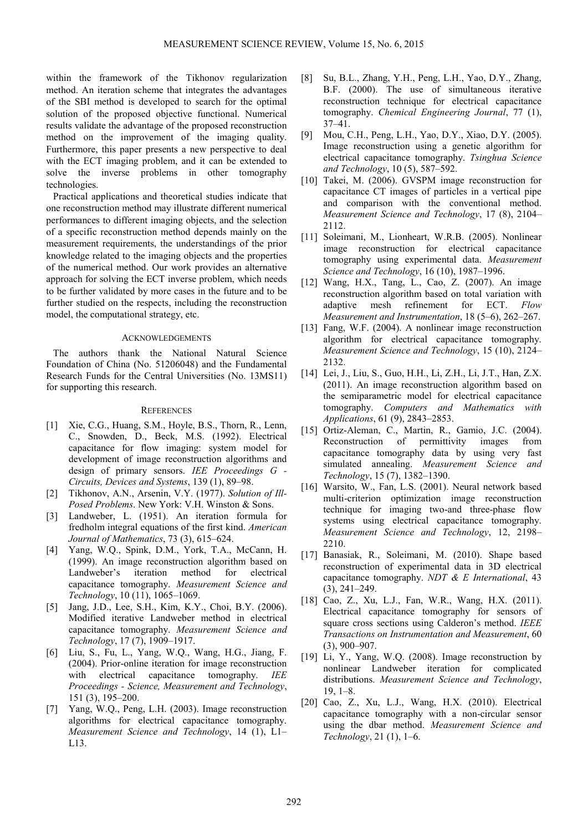within the framework of the Tikhonov regularization method. An iteration scheme that integrates the advantages of the SBI method is developed to search for the optimal solution of the proposed objective functional. Numerical results validate the advantage of the proposed reconstruction method on the improvement of the imaging quality. Furthermore, this paper presents a new perspective to deal with the ECT imaging problem, and it can be extended to solve the inverse problems in other tomography technologies.

Practical applications and theoretical studies indicate that one reconstruction method may illustrate different numerical performances to different imaging objects, and the selection of a specific reconstruction method depends mainly on the measurement requirements, the understandings of the prior knowledge related to the imaging objects and the properties of the numerical method. Our work provides an alternative approach for solving the ECT inverse problem, which needs to be further validated by more cases in the future and to be further studied on the respects, including the reconstruction model, the computational strategy, etc.

#### ACKNOWLEDGEMENTS

The authors thank the National Natural Science Foundation of China (No. 51206048) and the Fundamental Research Funds for the Central Universities (No. 13MS11) for supporting this research.

## **REFERENCES**

- [1] Xie, C.G., Huang, S.M., Hoyle, B.S., Thorn, R., Lenn, C., Snowden, D., Beck, M.S. (1992). Electrical capacitance for flow imaging: system model for development of image reconstruction algorithms and design of primary sensors. *IEE Proceedings G - Circuits, Devices and Systems*, 139 (1), 89–98.
- [2] Tikhonov, A.N., Arsenin, V.Y. (1977). *Solution of Ill-Posed Problems*. New York: V.H. Winston & Sons.
- [3] Landweber, L. (1951). An iteration formula for fredholm integral equations of the first kind. *American Journal of Mathematics*, 73 (3), 615–624.
- [4] Yang, W.Q., Spink, D.M., York, T.A., McCann, H. (1999). An image reconstruction algorithm based on Landweber's iteration method for electrical capacitance tomography. *Measurement Science and Technology*, 10 (11), 1065–1069.
- [5] Jang, J.D., Lee, S.H., Kim, K.Y., Choi, B.Y. (2006). Modified iterative Landweber method in electrical capacitance tomography. *Measurement Science and Technology*, 17 (7), 1909–1917.
- [6] Liu, S., Fu, L., Yang, W.Q., Wang, H.G., Jiang, F. (2004). Prior-online iteration for image reconstruction with electrical capacitance tomography. *IEE Proceedings - Science, Measurement and Technology*, 151 (3), 195–200.
- [7] Yang, W.Q., Peng, L.H. (2003). Image reconstruction algorithms for electrical capacitance tomography. *Measurement Science and Technology*, 14 (1), L1– L13.
- [8] Su, B.L., Zhang, Y.H., Peng, L.H., Yao, D.Y., Zhang, B.F. (2000). The use of simultaneous iterative reconstruction technique for electrical capacitance tomography. *Chemical Engineering Journal*, 77 (1), 37–41.
- [9] Mou, C.H., Peng, L.H., Yao, D.Y., Xiao, D.Y. (2005). Image reconstruction using a genetic algorithm for electrical capacitance tomography. *Tsinghua Science and Technology*, 10 (5), 587–592.
- [10] Takei, M. (2006). GVSPM image reconstruction for capacitance CT images of particles in a vertical pipe and comparison with the conventional method. *Measurement Science and Technology*, 17 (8), 2104– 2112.
- [11] Soleimani, M., Lionheart, W.R.B. (2005). Nonlinear image reconstruction for electrical capacitance tomography using experimental data. *Measurement Science and Technology*, 16 (10), 1987–1996.
- [12] Wang, H.X., Tang, L., Cao, Z. (2007). An image reconstruction algorithm based on total variation with adaptive mesh refinement for ECT. *Flow Measurement and Instrumentation*, 18 (5–6), 262–267.
- [13] Fang, W.F. (2004). A nonlinear image reconstruction algorithm for electrical capacitance tomography. *Measurement Science and Technology*, 15 (10), 2124– 2132.
- [14] Lei, J., Liu, S., Guo, H.H., Li, Z.H., Li, J.T., Han, Z.X. (2011). An image reconstruction algorithm based on the semiparametric model for electrical capacitance tomography. *Computers and Mathematics with Applications*, 61 (9), 2843–2853.
- [15] Ortiz-Aleman, C., Martin, R., Gamio, J.C. (2004). Reconstruction of permittivity images from capacitance tomography data by using very fast simulated annealing. *Measurement Science and Technology*, 15 (7), 1382–1390.
- [16] Warsito, W., Fan, L.S. (2001). Neural network based multi-criterion optimization image reconstruction technique for imaging two-and three-phase flow systems using electrical capacitance tomography. *Measurement Science and Technology*, 12, 2198– 2210.
- [17] Banasiak, R., Soleimani, M. (2010). Shape based reconstruction of experimental data in 3D electrical capacitance tomography. *NDT & E International*, 43 (3), 241–249.
- [18] Cao, Z., Xu, L.J., Fan, W.R., Wang, H.X. (2011). Electrical capacitance tomography for sensors of square cross sections using Calderon's method. *IEEE Transactions on Instrumentation and Measurement*, 60 (3), 900–907.
- [19] Li, Y., Yang, W.Q. (2008). Image reconstruction by nonlinear Landweber iteration for complicated distributions. *Measurement Science and Technology*, 19, 1–8.
- [20] Cao, Z., Xu, L.J., Wang, H.X. (2010). Electrical capacitance tomography with a non-circular sensor using the dbar method. *Measurement Science and Technology*, 21 (1), 1–6.